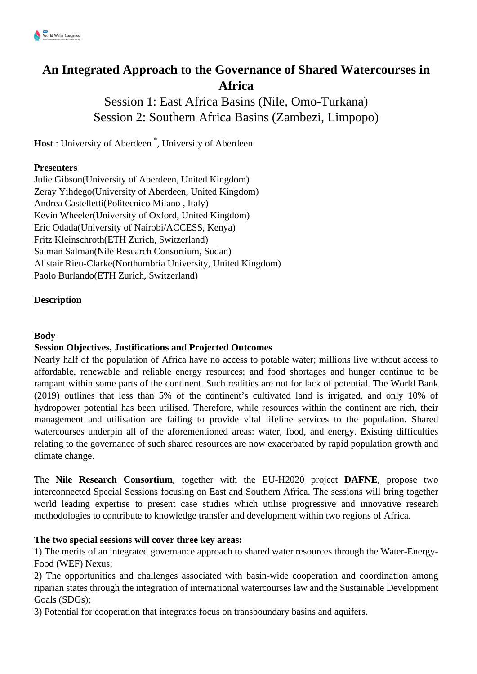

# **An Integrated Approach to the Governance of Shared Watercourses in Africa**

# Session 1: East Africa Basins (Nile, Omo-Turkana) Session 2: Southern Africa Basins (Zambezi, Limpopo)

**Host** : University of Aberdeen \* , University of Aberdeen

### **Presenters**

Julie Gibson(University of Aberdeen, United Kingdom) Zeray Yihdego(University of Aberdeen, United Kingdom) Andrea Castelletti(Politecnico Milano , Italy) Kevin Wheeler(University of Oxford, United Kingdom) Eric Odada(University of Nairobi/ACCESS, Kenya) Fritz Kleinschroth(ETH Zurich, Switzerland) Salman Salman(Nile Research Consortium, Sudan) Alistair Rieu-Clarke(Northumbria University, United Kingdom) Paolo Burlando(ETH Zurich, Switzerland)

## **Description**

#### **Body**

#### **Session Objectives, Justifications and Projected Outcomes**

Nearly half of the population of Africa have no access to potable water; millions live without access to affordable, renewable and reliable energy resources; and food shortages and hunger continue to be rampant within some parts of the continent. Such realities are not for lack of potential. The World Bank (2019) outlines that less than 5% of the continent's cultivated land is irrigated, and only 10% of hydropower potential has been utilised. Therefore, while resources within the continent are rich, their management and utilisation are failing to provide vital lifeline services to the population. Shared watercourses underpin all of the aforementioned areas: water, food, and energy. Existing difficulties relating to the governance of such shared resources are now exacerbated by rapid population growth and climate change.

The **Nile Research Consortium**, together with the EU-H2020 project **DAFNE**, propose two interconnected Special Sessions focusing on East and Southern Africa. The sessions will bring together world leading expertise to present case studies which utilise progressive and innovative research methodologies to contribute to knowledge transfer and development within two regions of Africa.

#### **The two special sessions will cover three key areas:**

1) The merits of an integrated governance approach to shared water resources through the Water-Energy-Food (WEF) Nexus;

2) The opportunities and challenges associated with basin-wide cooperation and coordination among riparian states through the integration of international watercourses law and the Sustainable Development Goals (SDGs);

3) Potential for cooperation that integrates focus on transboundary basins and aquifers.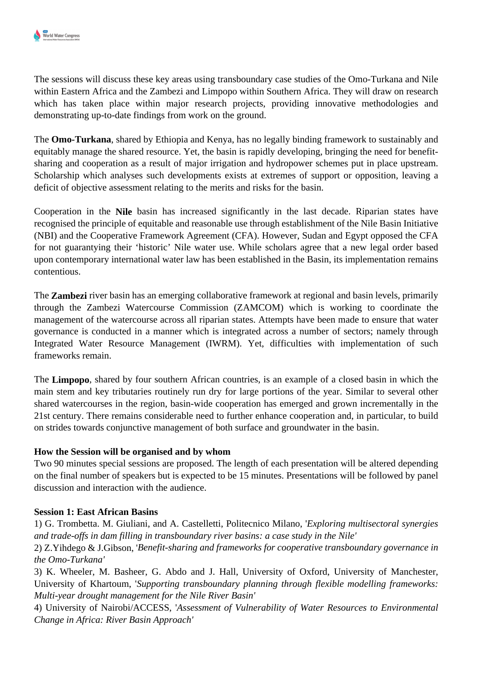The sessions will discuss these key areas using transboundary case studies of the Omo-Turkana and Nile within Eastern Africa and the Zambezi and Limpopo within Southern Africa. They will draw on research which has taken place within major research projects, providing innovative methodologies and demonstrating up-to-date findings from work on the ground.

The **Omo-Turkana**, shared by Ethiopia and Kenya, has no legally binding framework to sustainably and equitably manage the shared resource. Yet, the basin is rapidly developing, bringing the need for benefitsharing and cooperation as a result of major irrigation and hydropower schemes put in place upstream. Scholarship which analyses such developments exists at extremes of support or opposition, leaving a deficit of objective assessment relating to the merits and risks for the basin.

Cooperation in the **Nile** basin has increased significantly in the last decade. Riparian states have recognised the principle of equitable and reasonable use through establishment of the Nile Basin Initiative (NBI) and the Cooperative Framework Agreement (CFA). However, Sudan and Egypt opposed the CFA for not guarantying their 'historic' Nile water use. While scholars agree that a new legal order based upon contemporary international water law has been established in the Basin, its implementation remains contentious.

The **Zambezi** river basin has an emerging collaborative framework at regional and basin levels, primarily through the Zambezi Watercourse Commission (ZAMCOM) which is working to coordinate the management of the watercourse across all riparian states. Attempts have been made to ensure that water governance is conducted in a manner which is integrated across a number of sectors; namely through Integrated Water Resource Management (IWRM). Yet, difficulties with implementation of such frameworks remain.

The **Limpopo**, shared by four southern African countries, is an example of a closed basin in which the main stem and key tributaries routinely run dry for large portions of the year. Similar to several other shared watercourses in the region, basin-wide cooperation has emerged and grown incrementally in the 21st century. There remains considerable need to further enhance cooperation and, in particular, to build on strides towards conjunctive management of both surface and groundwater in the basin.

#### **How the Session will be organised and by whom**

Two 90 minutes special sessions are proposed. The length of each presentation will be altered depending on the final number of speakers but is expected to be 15 minutes. Presentations will be followed by panel discussion and interaction with the audience.

#### **Session 1: East African Basins**

1) G. Trombetta. M. Giuliani, and A. Castelletti, Politecnico Milano, '*Exploring multisectoral synergies and trade-offs in dam filling in transboundary river basins: a case study in the Nile'* 

2) Z.Yihdego & J.Gibson, '*Benefit-sharing and frameworks for cooperative transboundary governance in the Omo-Turkana'*

3) K. Wheeler, M. Basheer, G. Abdo and J. Hall, University of Oxford, University of Manchester, University of Khartoum, '*Supporting transboundary planning through flexible modelling frameworks: Multi-year drought management for the Nile River Basin'*

4) University of Nairobi/ACCESS, '*Assessment of Vulnerability of Water Resources to Environmental Change in Africa: River Basin Approach'*